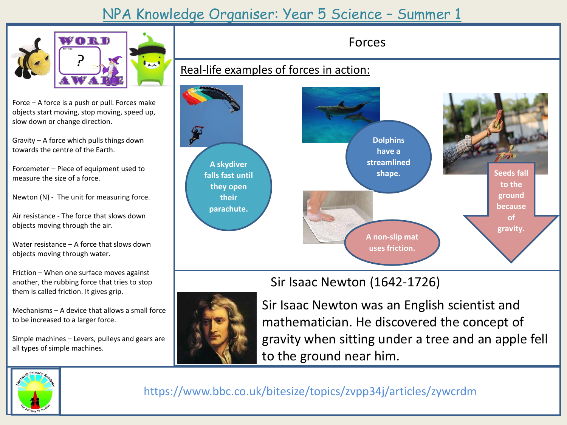## NPA Knowledge Organiser: Year 5 Science – Summer 1



Force – A force is a push or pull. Forces make objects start moving, stop moving, speed up, slow down or change direction.

Gravity – A force which pulls things down towards the centre of the Earth.

Forcemeter – Piece of equipment used to measure the size of a force.

Newton (N) - The unit for measuring force.

Air resistance - The force that slows down objects moving through the air.

Water resistance – A force that slows down objects moving through water.

Friction – When one surface moves against another, the rubbing force that tries to stop them is called friction. It gives grip.

Mechanisms – A device that allows a small force to be increased to a larger force.

Simple machines – Levers, pulleys and gears are all types of simple machines.





Forces

## Sir Isaac Newton (1642-1726)



Sir Isaac Newton was an English scientist and mathematician. He discovered the concept of gravity when sitting under a tree and an apple fell to the ground near him.



https://www.bbc.co.uk/bitesize/topics/zvpp34j/articles/zywcrdm